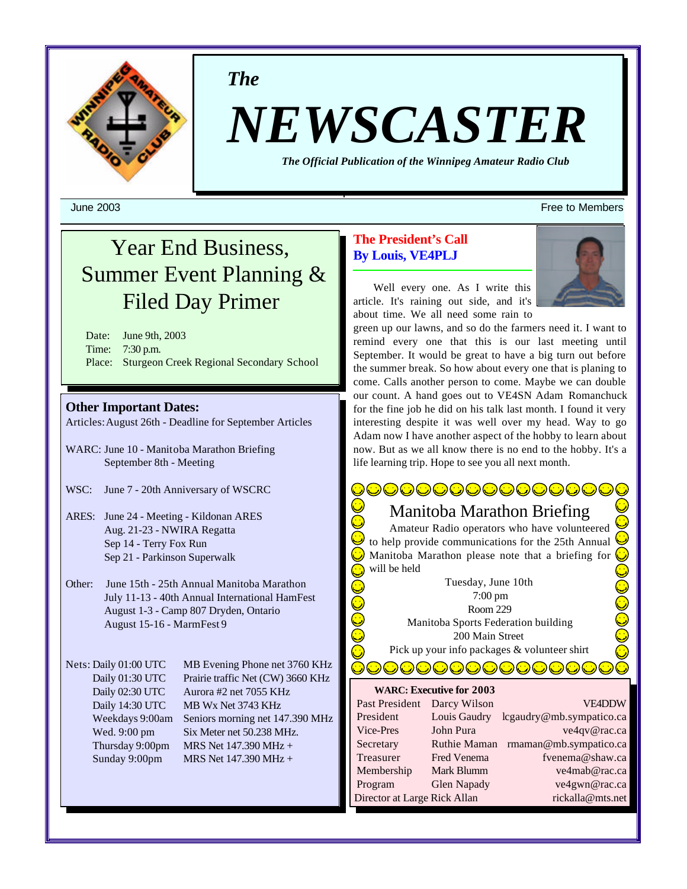

*The*

# *NEWSCASTER*

*The Official Publication of the Winnipeg Amateur Radio Club*

# Year End Business, Summer Event Planning & Filed Day Primer

Date: June 9th, 2003 Time: 7:30 p.m. Place: Sturgeon Creek Regional Secondary School

#### **Other Important Dates:**

Articles:August 26th - Deadline for September Articles

- WARC: June 10 Manitoba Marathon Briefing September 8th - Meeting
- WSC: June 7 20th Anniversary of WSCRC
- ARES: June 24 Meeting Kildonan ARES Aug. 21-23 - NWIRA Regatta Sep 14 - Terry Fox Run Sep 21 - Parkinson Superwalk
- Other: June 15th 25th Annual Manitoba Marathon July 11-13 - 40th Annual International HamFest August 1-3 - Camp 807 Dryden, Ontario August 15-16 - MarmFest 9

Nets: Daily 01:00 UTC MB Evening Phone net 3760 KHz Daily 01:30 UTC Prairie traffic Net (CW) 3660 KHz Daily 02:30 UTC Aurora #2 net 7055 KHz Daily 14:30 UTC MB Wx Net 3743 KHz Weekdays 9:00am Seniors morning net 147.390 MHz Wed. 9:00 pm Six Meter net 50.238 MHz. Thursday 9:00pm MRS Net  $147.390 \text{ MHz} +$ Sunday 9:00pm MRS Net 147.390 MHz +

#### **The President's Call By Louis, VE4PLJ**

Well every one. As I write this

article. It's raining out side, and it's about time. We all need some rain to green up our lawns, and so do the farmers need it. I want to

remind every one that this is our last meeting until September. It would be great to have a big turn out before the summer break. So how about every one that is planing to come. Calls another person to come. Maybe we can double our count. A hand goes out to VE4SN Adam Romanchuck for the fine job he did on his talk last month. I found it very interesting despite it was well over my head. Way to go Adam now I have another aspect of the hobby to learn about now. But as we all know there is no end to the hobby. It's a life learning trip. Hope to see you all next month.

## Manitoba Marathon Briefing

**DOOOOOOOOOOOOO** 

Amateur Radio operators who have volunteered to help provide communications for the 25th Annual Manitoba Marathon please note that a briefing for **OOOOOO** will be held

Tuesday, June 10th 7:00 pm Room 229 Manitoba Sports Federation building 200 Main Street Pick up your info packages & volunteer shirt

DOOOOOOOOO

#### **WARC: Executive for 2003**

| Past President               | Darcy Wilson | <b>VE4DDW</b>            |
|------------------------------|--------------|--------------------------|
| President                    | Louis Gaudry | lcgaudry@mb.sympatico.ca |
| Vice-Pres                    | John Pura    | ve4qv@rac.ca             |
| Secretary                    | Ruthie Maman | rmaman@mb.sympatico.ca   |
| Treasurer                    | Fred Venema  | fvenema@shaw.ca          |
| Membership                   | Mark Blumm   | ve4mab@rac.ca            |
| Program                      | Glen Napady  | ve4gwn@rac.ca            |
| Director at Large Rick Allan |              | rickalla@mts.net         |

June 2003 Free to Members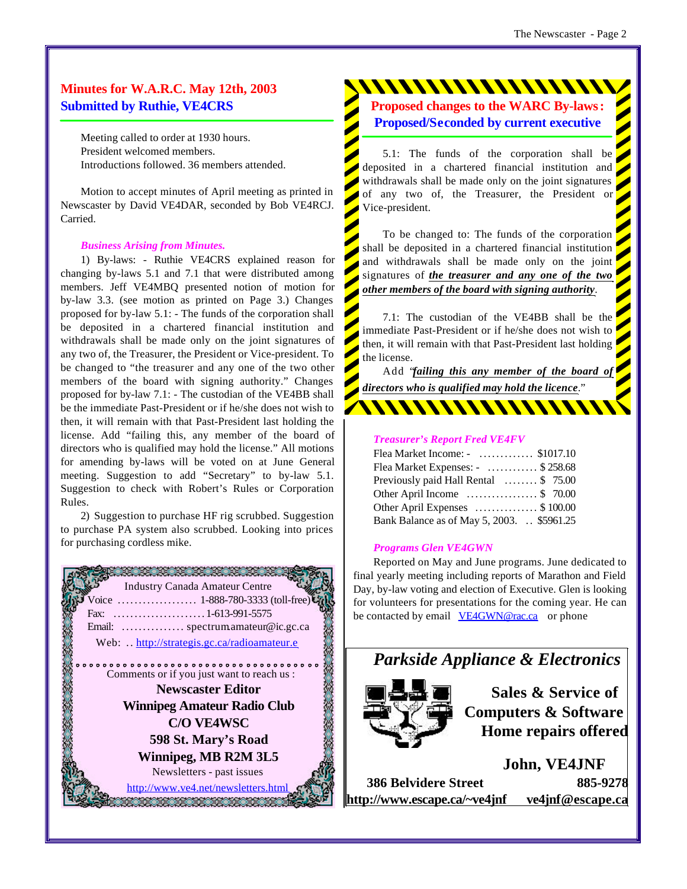#### **Minutes for W.A.R.C. May 12th, 2003 Submitted by Ruthie, VE4CRS**

Meeting called to order at 1930 hours. President welcomed members. Introductions followed. 36 members attended.

Motion to accept minutes of April meeting as printed in Newscaster by David VE4DAR, seconded by Bob VE4RCJ. Carried.

#### *Business Arising from Minutes.*

1) By-laws: - Ruthie VE4CRS explained reason for changing by-laws 5.1 and 7.1 that were distributed among members. Jeff VE4MBQ presented notion of motion for by-law 3.3. (see motion as printed on Page 3.) Changes proposed for by-law 5.1: - The funds of the corporation shall be deposited in a chartered financial institution and withdrawals shall be made only on the joint signatures of any two of, the Treasurer, the President or Vice-president. To be changed to "the treasurer and any one of the two other members of the board with signing authority." Changes proposed for by-law 7.1: - The custodian of the VE4BB shall be the immediate Past-President or if he/she does not wish to then, it will remain with that Past-President last holding the license. Add "failing this, any member of the board of directors who is qualified may hold the license." All motions for amending by-laws will be voted on at June General meeting. Suggestion to add "Secretary" to by-law 5.1. Suggestion to check with Robert's Rules or Corporation Rules.

2) Suggestion to purchase HF rig scrubbed. Suggestion to purchase PA system also scrubbed. Looking into prices for purchasing cordless mike.



**Proposed changes to the WARC By-laws:**

**Proposed/Seconded by current executive**

5.1: The funds of the corporation shall be deposited in a chartered financial institution and withdrawals shall be made only on the joint signatures of any two of, the Treasurer, the President or Vice-president.

To be changed to: The funds of the corporation shall be deposited in a chartered financial institution and withdrawals shall be made only on the joint signatures of *the treasurer and any one of the two other members of the board with signing authority*.

7.1: The custodian of the VE4BB shall be the immediate Past-President or if he/she does not wish to then, it will remain with that Past-President last holding the license.

Add "*failing this any member of the board of directors who is qualified may hold the licence*."

#### *Treasurer's Report Fred VE4FV*

| Flea Market Income: - \$1017.10             |
|---------------------------------------------|
| Flea Market Expenses: - \$258.68            |
| Previously paid Hall Rental \$ 75.00        |
| Other April Income $\ldots$ \$ 70.00        |
| Other April Expenses \$100.00               |
| Bank Balance as of May 5, 2003. . \$5961.25 |

#### *Programs Glen VE4GWN*

Reported on May and June programs. June dedicated to final yearly meeting including reports of Marathon and Field Day, by-law voting and election of Executive. Glen is looking for volunteers for presentations for the coming year. He can be contacted by email VE4GWN@rac.ca or phone

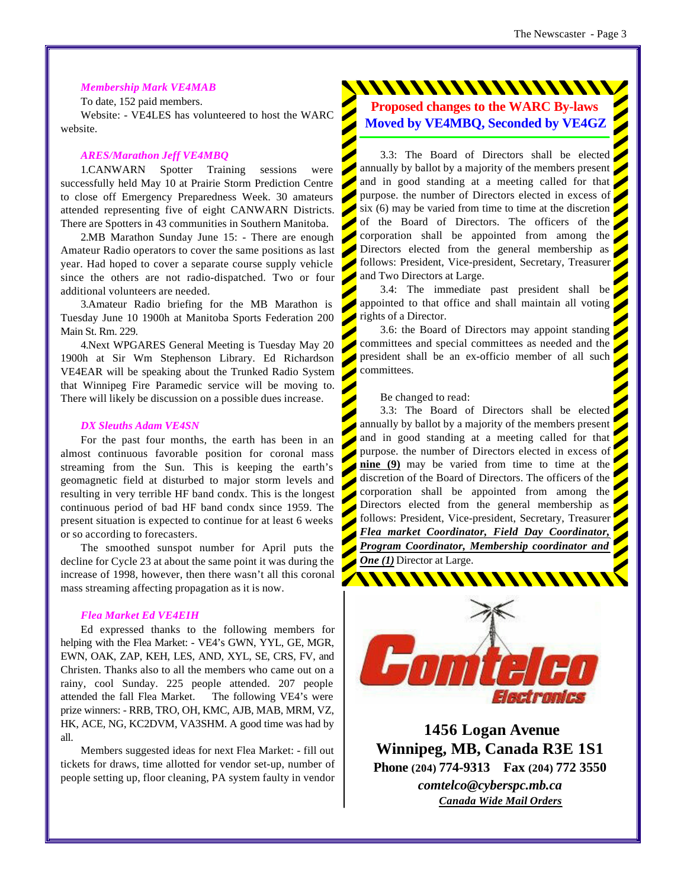#### *Membership Mark VE4MAB*

To date, 152 paid members.

Website: - VE4LES has volunteered to host the WARC website.

#### *ARES/Marathon Jeff VE4MBQ*

1.CANWARN Spotter Training sessions were successfully held May 10 at Prairie Storm Prediction Centre to close off Emergency Preparedness Week. 30 amateurs attended representing five of eight CANWARN Districts. There are Spotters in 43 communities in Southern Manitoba.

2.MB Marathon Sunday June 15: - There are enough Amateur Radio operators to cover the same positions as last year. Had hoped to cover a separate course supply vehicle since the others are not radio-dispatched. Two or four additional volunteers are needed.

3.Amateur Radio briefing for the MB Marathon is Tuesday June 10 1900h at Manitoba Sports Federation 200 Main St. Rm. 229.

4.Next WPGARES General Meeting is Tuesday May 20 1900h at Sir Wm Stephenson Library. Ed Richardson VE4EAR will be speaking about the Trunked Radio System that Winnipeg Fire Paramedic service will be moving to. There will likely be discussion on a possible dues increase.

#### *DX Sleuths Adam VE4SN*

For the past four months, the earth has been in an almost continuous favorable position for coronal mass streaming from the Sun. This is keeping the earth's geomagnetic field at disturbed to major storm levels and resulting in very terrible HF band condx. This is the longest continuous period of bad HF band condx since 1959. The present situation is expected to continue for at least 6 weeks or so according to forecasters.

The smoothed sunspot number for April puts the decline for Cycle 23 at about the same point it was during the increase of 1998, however, then there wasn't all this coronal mass streaming affecting propagation as it is now.

#### *Flea Market Ed VE4EIH*

Ed expressed thanks to the following members for helping with the Flea Market: - VE4's GWN, YYL, GE, MGR, EWN, OAK, ZAP, KEH, LES, AND, XYL, SE, CRS, FV, and Christen. Thanks also to all the members who came out on a rainy, cool Sunday. 225 people attended. 207 people attended the fall Flea Market. The following VE4's were prize winners: - RRB, TRO, OH, KMC, AJB, MAB, MRM, VZ, HK, ACE, NG, KC2DVM, VA3SHM. A good time was had by all.

Members suggested ideas for next Flea Market: - fill out tickets for draws, time allotted for vendor set-up, number of people setting up, floor cleaning, PA system faulty in vendor //////////////////////

**Proposed changes to the WARC By-laws Moved by VE4MBQ, Seconded by VE4GZ**

3.3: The Board of Directors shall be elected annually by ballot by a majority of the members present and in good standing at a meeting called for that purpose. the number of Directors elected in excess of six (6) may be varied from time to time at the discretion of the Board of Directors. The officers of the corporation shall be appointed from among the Directors elected from the general membership as follows: President, Vice-president, Secretary, Treasurer and Two Directors at Large.

3.4: The immediate past president shall be appointed to that office and shall maintain all voting rights of a Director.

3.6: the Board of Directors may appoint standing committees and special committees as needed and the president shall be an ex-officio member of all such committees.

Be changed to read:

3.3: The Board of Directors shall be elected annually by ballot by a majority of the members present and in good standing at a meeting called for that purpose. the number of Directors elected in excess of **nine (9)** may be varied from time to time at the discretion of the Board of Directors. The officers of the corporation shall be appointed from among the Directors elected from the general membership as follows: President, Vice-president, Secretary, Treasurer *Flea market Coordinator, Field Day Coordinator, Program Coordinator, Membership coordinator and One (1)* Director at Large.



 **1456 Logan Avenue Winnipeg, MB, Canada R3E 1S1 Phone (204) 774-9313 Fax (204) 772 3550** *comtelco@cyberspc.mb.ca Canada Wide Mail Orders*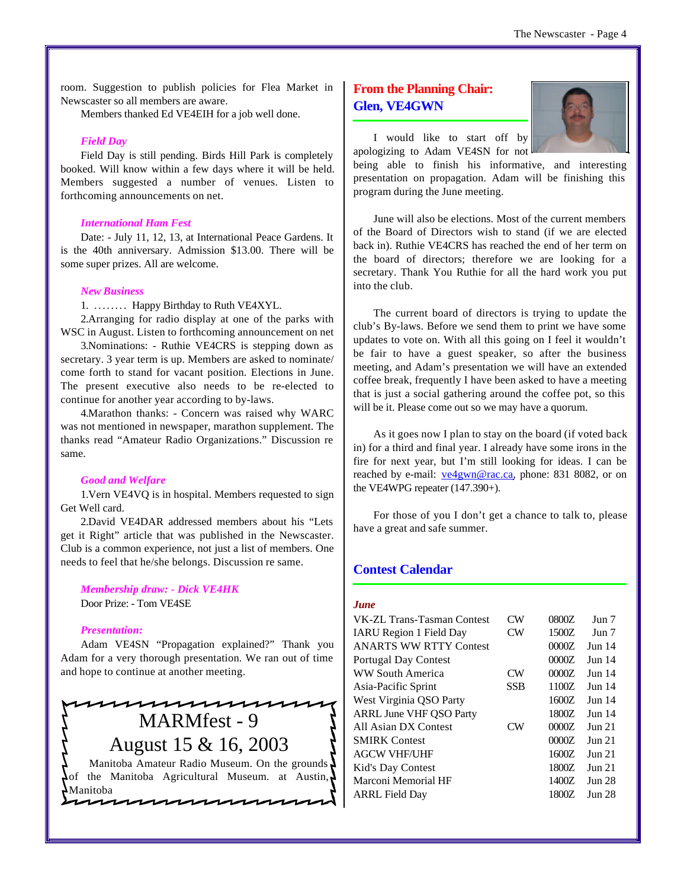room. Suggestion to publish policies for Flea Market in Newscaster so all members are aware.

Members thanked Ed VE4EIH for a job well done.

#### *Field Day*

Field Day is still pending. Birds Hill Park is completely booked. Will know within a few days where it will be held. Members suggested a number of venues. Listen to forthcoming announcements on net.

#### *International Ham Fest*

Date: - July 11, 12, 13, at International Peace Gardens. It is the 40th anniversary. Admission \$13.00. There will be some super prizes. All are welcome.

#### *New Business*

1. ........ Happy Birthday to Ruth VE4XYL.

2.Arranging for radio display at one of the parks with WSC in August. Listen to forthcoming announcement on net

3.Nominations: - Ruthie VE4CRS is stepping down as secretary. 3 year term is up. Members are asked to nominate/ come forth to stand for vacant position. Elections in June. The present executive also needs to be re-elected to continue for another year according to by-laws.

4.Marathon thanks: - Concern was raised why WARC was not mentioned in newspaper, marathon supplement. The thanks read "Amateur Radio Organizations." Discussion re same.

#### *Good and Welfare*

1.Vern VE4VQ is in hospital. Members requested to sign Get Well card.

2.David VE4DAR addressed members about his "Lets get it Right" article that was published in the Newscaster. Club is a common experience, not just a list of members. One needs to feel that he/she belongs. Discussion re same.

#### *Membership draw: - Dick VE4HK*

Door Prize: - Tom VE4SE

#### *Presentation:*

Adam VE4SN "Propagation explained?" Thank you Adam for a very thorough presentation. We ran out of time and hope to continue at another meeting.



**MAAAAAAAAAAAA** 

#### **From the Planning Chair: Glen, VE4GWN**



I would like to start off by

apologizing to Adam VE4SN for not being able to finish his informative, and interesting presentation on propagation. Adam will be finishing this program during the June meeting.

June will also be elections. Most of the current members of the Board of Directors wish to stand (if we are elected back in). Ruthie VE4CRS has reached the end of her term on the board of directors; therefore we are looking for a secretary. Thank You Ruthie for all the hard work you put into the club.

The current board of directors is trying to update the club's By-laws. Before we send them to print we have some updates to vote on. With all this going on I feel it wouldn't be fair to have a guest speaker, so after the business meeting, and Adam's presentation we will have an extended coffee break, frequently I have been asked to have a meeting that is just a social gathering around the coffee pot, so this will be it. Please come out so we may have a quorum.

As it goes now I plan to stay on the board (if voted back in) for a third and final year. I already have some irons in the fire for next year, but I'm still looking for ideas. I can be reached by e-mail: ve4gwn@rac.ca, phone: 831 8082, or on the VE4WPG repeater (147.390+).

For those of you I don't get a chance to talk to, please have a great and safe summer.

#### **Contest Calendar**

#### *June*

| VK-ZL Trans-Tasman Contest     | $_{\rm CW}$            | 0800Z | $_{\text{Jun}}$ 7  |
|--------------------------------|------------------------|-------|--------------------|
| <b>IARU</b> Region 1 Field Day | $\rm CW$               | 1500Z | Jun 7              |
| <b>ANARTS WW RTTY Contest</b>  |                        | 0000Z | <b>Jun 14</b>      |
| Portugal Day Contest           |                        | 0000Z | <b>Jun 14</b>      |
| <b>WW South America</b>        | $\rm CW$               | 0000Z | <b>Jun 14</b>      |
| Asia-Pacific Sprint            | <b>SSB</b>             | 1100Z | <b>Jun 14</b>      |
| West Virginia QSO Party        |                        | 1600Z | <b>Jun 14</b>      |
| <b>ARRL June VHF OSO Party</b> |                        | 1800Z | $_{\text{Jun}}$ 14 |
| All Asian DX Contest           | $\mathbf{C}\mathbf{W}$ | 0000Z | $_{\text{Jun}}$ 21 |
| <b>SMIRK Contest</b>           |                        | 0000Z | Jun 21             |
| <b>AGCW VHF/UHF</b>            |                        | 1600Z | Jun 21             |
| Kid's Day Contest              |                        | 1800Z | <b>Jun 21</b>      |
| Marconi Memorial HF            |                        | 1400Z | <b>Jun 28</b>      |
| <b>ARRL Field Day</b>          |                        | 1800Z | <b>Jun 28</b>      |
|                                |                        |       |                    |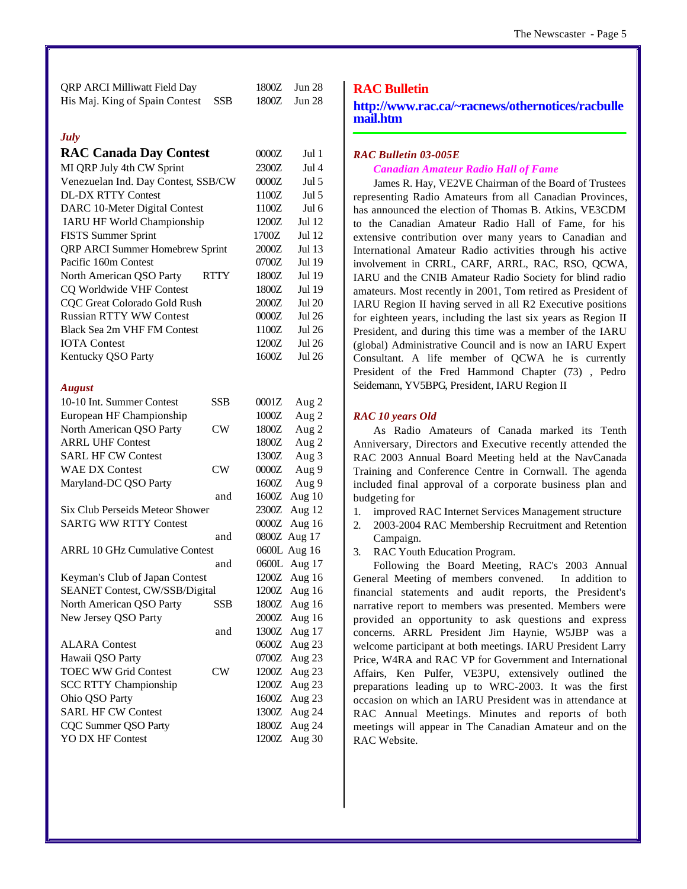| <b>QRP ARCI Milliwatt Field Day</b> |  | $1800Z$ Jun 28 |  |
|-------------------------------------|--|----------------|--|
| His Maj. King of Spain Contest SSB  |  | $1800Z$ Jun 28 |  |

#### *July*

| <b>RAC Canada Day Contest</b>          |             | 0000Z | Jul 1        |
|----------------------------------------|-------------|-------|--------------|
| MI QRP July 4th CW Sprint              |             | 2300Z | Jul 4        |
| Venezuelan Ind. Day Contest, SSB/CW    |             | 0000Z | Jul 5        |
| <b>DL-DX RTTY Contest</b>              |             | 1100Z | Jul 5        |
| DARC 10-Meter Digital Contest          |             | 1100Z | Jul 6        |
| IARU HF World Championship             |             | 1200Z | Jul 12       |
| <b>FISTS Summer Sprint</b>             |             | 1700Z | Jul 12       |
| QRP ARCI Summer Homebrew Sprint        |             | 2000Z | Jul 13       |
| Pacific 160m Contest                   |             | 0700Z | Jul 19       |
| North American QSO Party               | <b>RTTY</b> | 1800Z | Jul 19       |
| CQ Worldwide VHF Contest               |             | 1800Z | Jul 19       |
| CQC Great Colorado Gold Rush           |             | 2000Z | Jul 20       |
| <b>Russian RTTY WW Contest</b>         |             | 0000Z | Jul 26       |
| <b>Black Sea 2m VHF FM Contest</b>     |             | 1100Z | Jul 26       |
| <b>IOTA</b> Contest                    |             | 1200Z | Jul 26       |
| Kentucky QSO Party                     |             | 1600Z | Jul 26       |
| <b>August</b>                          |             |       |              |
| 10-10 Int. Summer Contest              | <b>SSB</b>  | 0001Z | Aug 2        |
| European HF Championship               |             | 1000Z | Aug 2        |
| North American QSO Party               | CW          | 1800Z | Aug 2        |
| <b>ARRL UHF Contest</b>                |             | 1800Z | Aug 2        |
| <b>SARL HF CW Contest</b>              |             | 1300Z | Aug 3        |
| <b>WAE DX Contest</b>                  | CW          | 0000Z | Aug 9        |
| Maryland-DC QSO Party                  |             | 1600Z | Aug 9        |
|                                        | and         | 1600Z | Aug 10       |
| <b>Six Club Perseids Meteor Shower</b> |             | 2300Z | Aug 12       |
| <b>SARTG WW RTTY Contest</b>           |             | 0000Z | Aug 16       |
|                                        | and         | 0800Z | Aug $17$     |
| <b>ARRL 10 GHz Cumulative Contest</b>  |             |       | 0600L Aug 16 |
|                                        | and         | 0600L | Aug 17       |
| Keyman's Club of Japan Contest         |             | 1200Z | Aug 16       |
| SEANET Contest, CW/SSB/Digital         |             | 1200Z | Aug 16       |
| North American QSO Party               | SSB         | 1800Z | Aug 16       |
| New Jersey QSO Party                   |             | 2000Z | Aug 16       |
|                                        | and         | 1300Z | Aug 17       |
| <b>ALARA</b> Contest                   |             | 0600Z | Aug 23       |
| Hawaii QSO Party                       |             | 0700Z | Aug 23       |
| <b>TOEC WW Grid Contest</b>            | CW          | 1200Z | Aug 23       |
| <b>SCC RTTY Championship</b>           |             | 1200Z | Aug 23       |
| Ohio QSO Party                         |             | 1600Z | Aug 23       |
| <b>SARL HF CW Contest</b>              |             | 1300Z | Aug 24       |
| CQC Summer QSO Party                   |             | 1800Z | Aug 24       |
| YO DX HF Contest                       |             | 1200Z | Aug 30       |

#### **RAC Bulletin**

**<http://www.rac.ca/~racnews/othernotices/racbulle> mail.htm**

#### *RAC Bulletin 03-005E*

#### *Canadian Amateur Radio Hall of Fame*

James R. Hay, VE2VE Chairman of the Board of Trustees representing Radio Amateurs from all Canadian Provinces, has announced the election of Thomas B. Atkins, VE3CDM to the Canadian Amateur Radio Hall of Fame, for his extensive contribution over many years to Canadian and International Amateur Radio activities through his active involvement in CRRL, CARF, ARRL, RAC, RSO, QCWA, IARU and the CNIB Amateur Radio Society for blind radio amateurs. Most recently in 2001, Tom retired as President of IARU Region II having served in all R2 Executive positions for eighteen years, including the last six years as Region II President, and during this time was a member of the IARU (global) Administrative Council and is now an IARU Expert Consultant. A life member of QCWA he is currently President of the Fred Hammond Chapter (73) , Pedro Seidemann, YV5BPG, President, IARU Region II

#### *RAC 10 years Old*

As Radio Amateurs of Canada marked its Tenth Anniversary, Directors and Executive recently attended the RAC 2003 Annual Board Meeting held at the NavCanada Training and Conference Centre in Cornwall. The agenda included final approval of a corporate business plan and budgeting for

- 1. improved RAC Internet Services Management structure
- 2. 2003-2004 RAC Membership Recruitment and Retention Campaign.
- 3. RAC Youth Education Program.

Following the Board Meeting, RAC's 2003 Annual General Meeting of members convened. In addition to financial statements and audit reports, the President's narrative report to members was presented. Members were provided an opportunity to ask questions and express concerns. ARRL President Jim Haynie, W5JBP was a welcome participant at both meetings. IARU President Larry Price, W4RA and RAC VP for Government and International Affairs, Ken Pulfer, VE3PU, extensively outlined the preparations leading up to WRC-2003. It was the first occasion on which an IARU President was in attendance at RAC Annual Meetings. Minutes and reports of both meetings will appear in The Canadian Amateur and on the RAC Website.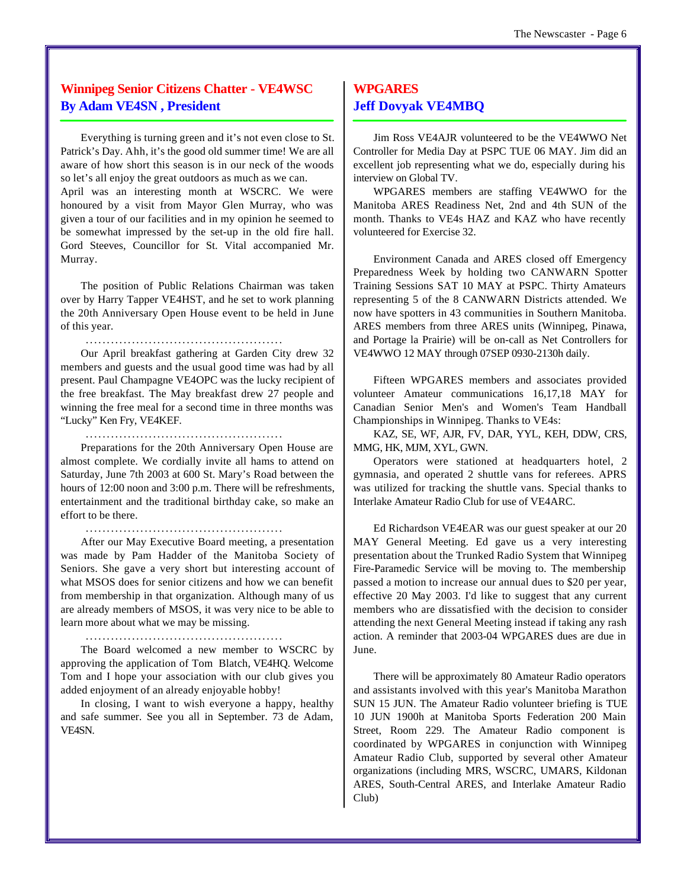#### **Winnipeg Senior Citizens Chatter - VE4WSC By Adam VE4SN , President**

Everything is turning green and it's not even close to St. Patrick's Day. Ahh, it's the good old summer time! We are all aware of how short this season is in our neck of the woods so let's all enjoy the great outdoors as much as we can.

April was an interesting month at WSCRC. We were honoured by a visit from Mayor Glen Murray, who was given a tour of our facilities and in my opinion he seemed to be somewhat impressed by the set-up in the old fire hall. Gord Steeves, Councillor for St. Vital accompanied Mr. Murray.

The position of Public Relations Chairman was taken over by Harry Tapper VE4HST, and he set to work planning the 20th Anniversary Open House event to be held in June of this year.

...............................................

Our April breakfast gathering at Garden City drew 32 members and guests and the usual good time was had by all present. Paul Champagne VE4OPC was the lucky recipient of the free breakfast. The May breakfast drew 27 people and winning the free meal for a second time in three months was "Lucky" Ken Fry, VE4KEF.

...............................................

Preparations for the 20th Anniversary Open House are almost complete. We cordially invite all hams to attend on Saturday, June 7th 2003 at 600 St. Mary's Road between the hours of 12:00 noon and 3:00 p.m. There will be refreshments, entertainment and the traditional birthday cake, so make an effort to be there.

...............................................

After our May Executive Board meeting, a presentation was made by Pam Hadder of the Manitoba Society of Seniors. She gave a very short but interesting account of what MSOS does for senior citizens and how we can benefit from membership in that organization. Although many of us are already members of MSOS, it was very nice to be able to learn more about what we may be missing.

...............................................

The Board welcomed a new member to WSCRC by approving the application of Tom Blatch, VE4HQ. Welcome Tom and I hope your association with our club gives you added enjoyment of an already enjoyable hobby!

In closing, I want to wish everyone a happy, healthy and safe summer. See you all in September. 73 de Adam, VE4SN.

#### **WPGARES Jeff Dovyak VE4MBQ**

Jim Ross VE4AJR volunteered to be the VE4WWO Net Controller for Media Day at PSPC TUE 06 MAY. Jim did an excellent job representing what we do, especially during his interview on Global TV.

WPGARES members are staffing VE4WWO for the Manitoba ARES Readiness Net, 2nd and 4th SUN of the month. Thanks to VE4s HAZ and KAZ who have recently volunteered for Exercise 32.

Environment Canada and ARES closed off Emergency Preparedness Week by holding two CANWARN Spotter Training Sessions SAT 10 MAY at PSPC. Thirty Amateurs representing 5 of the 8 CANWARN Districts attended. We now have spotters in 43 communities in Southern Manitoba. ARES members from three ARES units (Winnipeg, Pinawa, and Portage la Prairie) will be on-call as Net Controllers for VE4WWO 12 MAY through 07SEP 0930-2130h daily.

Fifteen WPGARES members and associates provided volunteer Amateur communications 16,17,18 MAY for Canadian Senior Men's and Women's Team Handball Championships in Winnipeg. Thanks to VE4s:

KAZ, SE, WF, AJR, FV, DAR, YYL, KEH, DDW, CRS, MMG, HK, MJM, XYL, GWN.

Operators were stationed at headquarters hotel, 2 gymnasia, and operated 2 shuttle vans for referees. APRS was utilized for tracking the shuttle vans. Special thanks to Interlake Amateur Radio Club for use of VE4ARC.

Ed Richardson VE4EAR was our guest speaker at our 20 MAY General Meeting. Ed gave us a very interesting presentation about the Trunked Radio System that Winnipeg Fire-Paramedic Service will be moving to. The membership passed a motion to increase our annual dues to \$20 per year, effective 20 May 2003. I'd like to suggest that any current members who are dissatisfied with the decision to consider attending the next General Meeting instead if taking any rash action. A reminder that 2003-04 WPGARES dues are due in June.

There will be approximately 80 Amateur Radio operators and assistants involved with this year's Manitoba Marathon SUN 15 JUN. The Amateur Radio volunteer briefing is TUE 10 JUN 1900h at Manitoba Sports Federation 200 Main Street, Room 229. The Amateur Radio component is coordinated by WPGARES in conjunction with Winnipeg Amateur Radio Club, supported by several other Amateur organizations (including MRS, WSCRC, UMARS, Kildonan ARES, South-Central ARES, and Interlake Amateur Radio Club)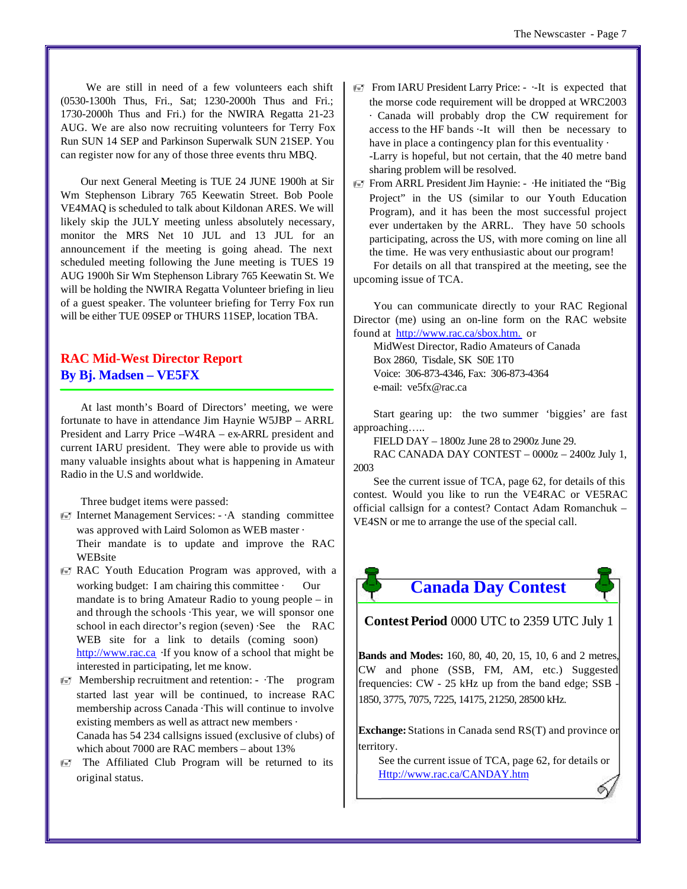We are still in need of a few volunteers each shift (0530-1300h Thus, Fri., Sat; 1230-2000h Thus and Fri.; 1730-2000h Thus and Fri.) for the NWIRA Regatta 21-23 AUG. We are also now recruiting volunteers for Terry Fox Run SUN 14 SEP and Parkinson Superwalk SUN 21SEP. You can register now for any of those three events thru MBQ.

Our next General Meeting is TUE 24 JUNE 1900h at Sir Wm Stephenson Library 765 Keewatin Street. Bob Poole VE4MAQ is scheduled to talk about Kildonan ARES. We will likely skip the JULY meeting unless absolutely necessary, monitor the MRS Net 10 JUL and 13 JUL for an announcement if the meeting is going ahead. The next scheduled meeting following the June meeting is TUES 19 AUG 1900h Sir Wm Stephenson Library 765 Keewatin St. We will be holding the NWIRA Regatta Volunteer briefing in lieu of a guest speaker. The volunteer briefing for Terry Fox run will be either TUE 09SEP or THURS 11SEP, location TBA.

#### **RAC Mid-West Director Report By Bj. Madsen – VE5FX**

At last month's Board of Directors' meeting, we were fortunate to have in attendance Jim Haynie W5JBP – ARRL President and Larry Price –W4RA – ex-ARRL president and current IARU president. They were able to provide us with many valuable insights about what is happening in Amateur Radio in the U.S and worldwide.

Three budget items were passed:

- $\equiv$  Internet Management Services:  $-A$  standing committee was approved with Laird Solomon as WEB master · Their mandate is to update and improve the RAC WEBsite
- **EV** RAC Youth Education Program was approved, with a working budget: I am chairing this committee · Our mandate is to bring Amateur Radio to young people – in and through the schools ·This year, we will sponsor one school in each director's region (seven) ·See the RAC WEB site for a link to details (coming soon) <http://www.rac.ca>·If you know of a school that might be interested in participating, let me know.
- $\equiv$  Membership recruitment and retention: ·The program started last year will be continued, to increase RAC membership across Canada ·This will continue to involve existing members as well as attract new members · Canada has 54 234 callsigns issued (exclusive of clubs) of which about 7000 are RAC members – about 13%
- $\equiv$  The Affiliated Club Program will be returned to its original status.
- **From IARU President Larry Price:** --It is expected that the morse code requirement will be dropped at WRC2003 · Canada will probably drop the CW requirement for access to the HF bands ·-It will then be necessary to have in place a contingency plan for this eventuality  $\cdot$ -Larry is hopeful, but not certain, that the 40 metre band sharing problem will be resolved.
- **From ARRL President Jim Haynie: -** · He initiated the "Big Project" in the US (similar to our Youth Education Program), and it has been the most successful project ever undertaken by the ARRL. They have 50 schools participating, across the US, with more coming on line all the time. He was very enthusiastic about our program!

For details on all that transpired at the meeting, see the upcoming issue of TCA.

You can communicate directly to your RAC Regional Director (me) using an on-line form on the RAC website found at [http://www.rac.ca/sbox.htm.](http://www.rac.ca/sbox.htm) or

MidWest Director, Radio Amateurs of Canada Box 2860, Tisdale, SK S0E 1T0 Voice: 306-873-4346, Fax: 306-873-4364 e-mail: ve5fx@rac.ca

Start gearing up: the two summer 'biggies' are fast approaching…..

FIELD DAY – 1800z June 28 to 2900z June 29.

RAC CANADA DAY CONTEST – 0000z – 2400z July 1, 2003

See the current issue of TCA, page 62, for details of this contest. Would you like to run the VE4RAC or VE5RAC official callsign for a contest? Contact Adam Romanchuk – VE4SN or me to arrange the use of the special call.



**Contest Period** 0000 UTC to 2359 UTC July 1

**Bands and Modes:** 160, 80, 40, 20, 15, 10, 6 and 2 metres, CW and phone (SSB, FM, AM, etc.) Suggested frequencies: CW - 25 kHz up from the band edge; SSB - 1850, 3775, 7075, 7225, 14175, 21250, 28500 kHz.

**Exchange:** Stations in Canada send RS(T) and province or territory.

See the current issue of TCA, page 62, for details or <Http://www.rac.ca/CANDAY.htm>

Ó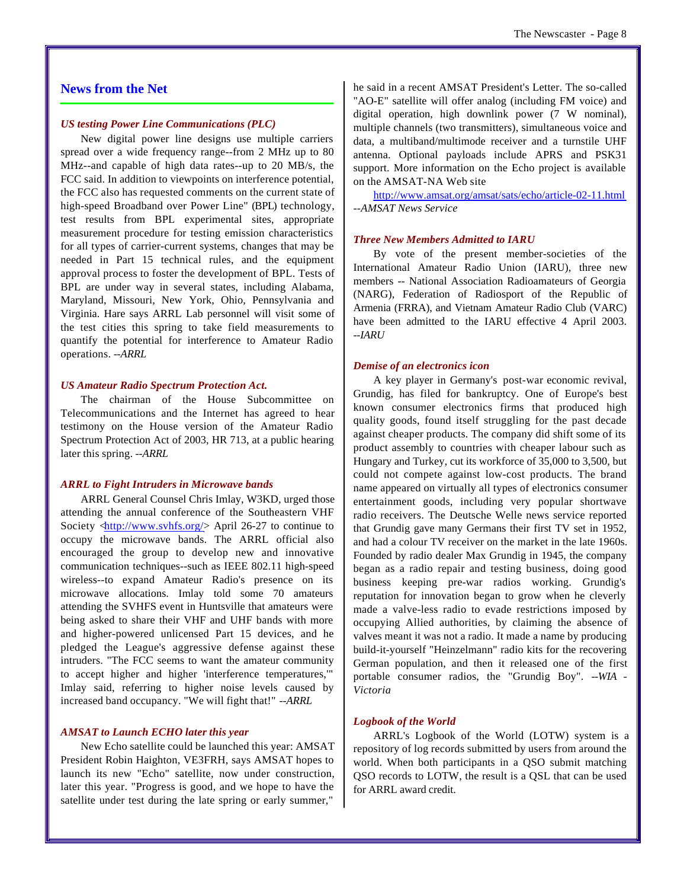#### **News from the Net**

#### *US testing Power Line Communications (PLC)*

New digital power line designs use multiple carriers spread over a wide frequency range--from 2 MHz up to 80 MHz--and capable of high data rates--up to 20 MB/s, the FCC said. In addition to viewpoints on interference potential, the FCC also has requested comments on the current state of high-speed Broadband over Power Line" (BPL) technology, test results from BPL experimental sites, appropriate measurement procedure for testing emission characteristics for all types of carrier-current systems, changes that may be needed in Part 15 technical rules, and the equipment approval process to foster the development of BPL. Tests of BPL are under way in several states, including Alabama, Maryland, Missouri, New York, Ohio, Pennsylvania and Virginia. Hare says ARRL Lab personnel will visit some of the test cities this spring to take field measurements to quantify the potential for interference to Amateur Radio operations. *--ARRL*

#### *US Amateur Radio Spectrum Protection Act.*

The chairman of the House Subcommittee on Telecommunications and the Internet has agreed to hear testimony on the House version of the Amateur Radio Spectrum Protection Act of 2003, HR 713, at a public hearing later this spring. *--ARRL*

#### *ARRL to Fight Intruders in Microwave bands*

ARRL General Counsel Chris Imlay, W3KD, urged those attending the annual conference of the Southeastern VHF Society  $\langle \frac{http://www.svhfs.org/}{\rangle}$  April 26-27 to continue to occupy the microwave bands. The ARRL official also encouraged the group to develop new and innovative communication techniques--such as IEEE 802.11 high-speed wireless--to expand Amateur Radio's presence on its microwave allocations. Imlay told some 70 amateurs attending the SVHFS event in Huntsville that amateurs were being asked to share their VHF and UHF bands with more and higher-powered unlicensed Part 15 devices, and he pledged the League's aggressive defense against these intruders. "The FCC seems to want the amateur community to accept higher and higher 'interference temperatures,'" Imlay said, referring to higher noise levels caused by increased band occupancy. "We will fight that!" *--ARRL*

#### *AMSAT to Launch ECHO later this year*

New Echo satellite could be launched this year: AMSAT President Robin Haighton, VE3FRH, says AMSAT hopes to launch its new "Echo" satellite, now under construction, later this year. "Progress is good, and we hope to have the satellite under test during the late spring or early summer,"

he said in a recent AMSAT President's Letter. The so-called "AO-E" satellite will offer analog (including FM voice) and digital operation, high downlink power (7 W nominal), multiple channels (two transmitters), simultaneous voice and data, a multiband/multimode receiver and a turnstile UHF antenna. Optional payloads include APRS and PSK31 support. More information on the Echo project is available on the AMSAT-NA Web site

<http://www.amsat.org/amsat/sats/echo/article-02-11.html> *--AMSAT News Service* 

#### *Three New Members Admitted to IARU*

By vote of the present member-societies of the International Amateur Radio Union (IARU), three new members -- National Association Radioamateurs of Georgia (NARG), Federation of Radiosport of the Republic of Armenia (FRRA), and Vietnam Amateur Radio Club (VARC) have been admitted to the IARU effective 4 April 2003. *--IARU*

#### *Demise of an electronics icon*

A key player in Germany's post-war economic revival, Grundig, has filed for bankruptcy. One of Europe's best known consumer electronics firms that produced high quality goods, found itself struggling for the past decade against cheaper products. The company did shift some of its product assembly to countries with cheaper labour such as Hungary and Turkey, cut its workforce of 35,000 to 3,500, but could not compete against low-cost products. The brand name appeared on virtually all types of electronics consumer entertainment goods, including very popular shortwave radio receivers. The Deutsche Welle news service reported that Grundig gave many Germans their first TV set in 1952, and had a colour TV receiver on the market in the late 1960s. Founded by radio dealer Max Grundig in 1945, the company began as a radio repair and testing business, doing good business keeping pre-war radios working. Grundig's reputation for innovation began to grow when he cleverly made a valve-less radio to evade restrictions imposed by occupying Allied authorities, by claiming the absence of valves meant it was not a radio. It made a name by producing build-it-yourself "Heinzelmann" radio kits for the recovering German population, and then it released one of the first portable consumer radios, the "Grundig Boy". *--WIA - Victoria*

#### *Logbook of the World*

ARRL's Logbook of the World (LOTW) system is a repository of log records submitted by users from around the world. When both participants in a QSO submit matching QSO records to LOTW, the result is a QSL that can be used for ARRL award credit.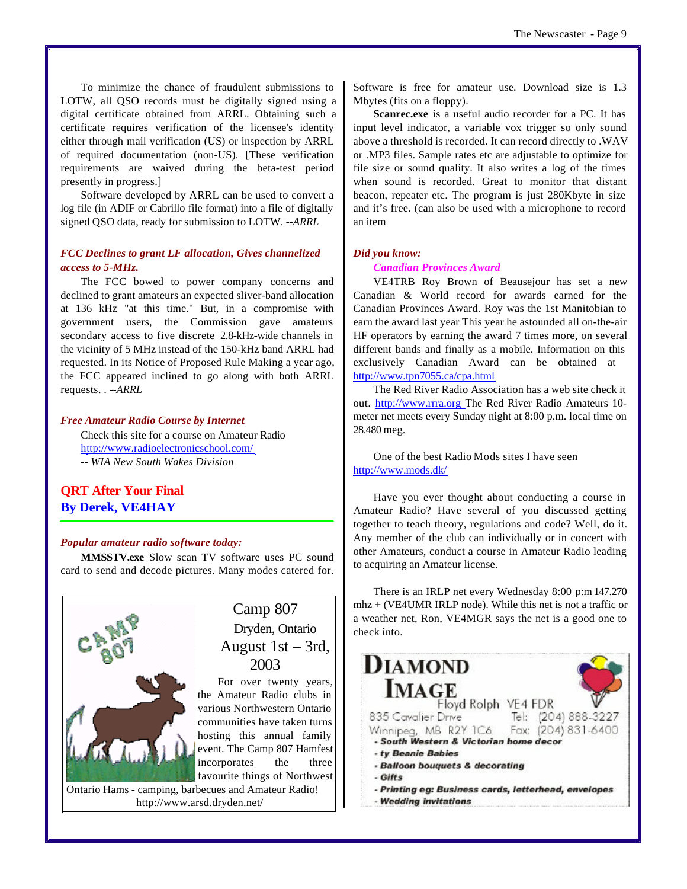To minimize the chance of fraudulent submissions to LOTW, all QSO records must be digitally signed using a digital certificate obtained from ARRL. Obtaining such a certificate requires verification of the licensee's identity either through mail verification (US) or inspection by ARRL of required documentation (non-US). [These verification requirements are waived during the beta-test period presently in progress.]

Software developed by ARRL can be used to convert a log file (in ADIF or Cabrillo file format) into a file of digitally signed QSO data, ready for submission to LOTW. *--ARRL*

#### *FCC Declines to grant LF allocation, Gives channelized access to 5-MHz.*

The FCC bowed to power company concerns and declined to grant amateurs an expected sliver-band allocation at 136 kHz "at this time." But, in a compromise with government users, the Commission gave amateurs secondary access to five discrete 2.8-kHz-wide channels in the vicinity of 5 MHz instead of the 150-kHz band ARRL had requested. In its Notice of Proposed Rule Making a year ago, the FCC appeared inclined to go along with both ARRL requests. . *--ARRL*

#### *Free Amateur Radio Course by Internet*

Check this site for a course on Amateur Radio <http://www.radioelectronicschool.com/> *-- WIA New South Wakes Division*

#### **QRT After Your Final By Derek, VE4HAY**

#### *Popular amateur radio software today:*

**MMSSTV.exe** Slow scan TV software uses PC sound card to send and decode pictures. Many modes catered for.



Software is free for amateur use. Download size is 1.3 Mbytes (fits on a floppy).

**Scanrec.exe** is a useful audio recorder for a PC. It has input level indicator, a variable vox trigger so only sound above a threshold is recorded. It can record directly to .WAV or .MP3 files. Sample rates etc are adjustable to optimize for file size or sound quality. It also writes a log of the times when sound is recorded. Great to monitor that distant beacon, repeater etc. The program is just 280Kbyte in size and it's free. (can also be used with a microphone to record an item

#### *Did you know:*

#### *Canadian Provinces Award*

VE4TRB Roy Brown of Beausejour has set a new Canadian & World record for awards earned for the Canadian Provinces Award. Roy was the 1st Manitobian to earn the award last year This year he astounded all on-the-air HF operators by earning the award 7 times more, on several different bands and finally as a mobile. Information on this exclusively Canadian Award can be obtained at <http://www.tpn7055.ca/cpa.html>

The Red River Radio Association has a web site check it out. <http://www.rrra.org>The Red River Radio Amateurs 10 meter net meets every Sunday night at 8:00 p.m. local time on 28.480 meg.

One of the best Radio Mods sites I have seen <http://www.mods.dk/>

Have you ever thought about conducting a course in Amateur Radio? Have several of you discussed getting together to teach theory, regulations and code? Well, do it. Any member of the club can individually or in concert with other Amateurs, conduct a course in Amateur Radio leading to acquiring an Amateur license.

There is an IRLP net every Wednesday 8:00 p:m 147.270 mhz + (VE4UMR IRLP node). While this net is not a traffic or a weather net, Ron, VE4MGR says the net is a good one to check into.